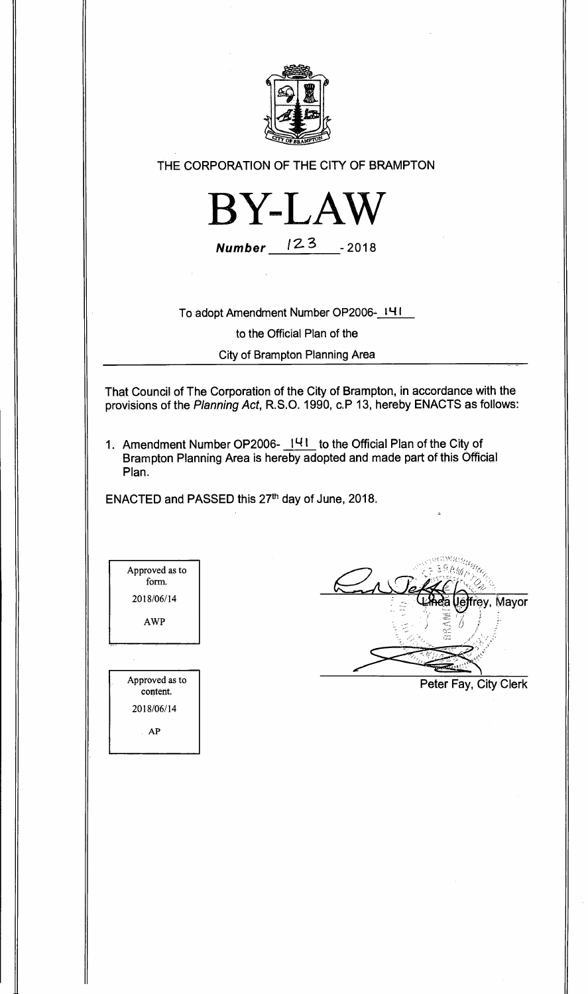

**THE CORPORATION OF THE CITY OF BRAMPTON** 



**Number**  $123 - 2018$ 

**To adopt Amendment Number OP2006-141** 

**to the Official Plan of the** 

**City of Brampton Planning Area** 

**That Council of The Corporation of the City of Brampton, in accordance with the provisions of the** Planning Act, **R.S.O. 1990, c.P 13, hereby ENACTS as follows:** 

**1. Amendment Number OP2006- 141 to the Official Plan of the City of Brampton Planning Area is hereby adopted and made part of this Official Plan.** 

ENACTED and PASSED this 27<sup>th</sup> day of June, 2018.

Approved as to form. 2018/06/14 AWP Approved as to content. 2018/06/14

frey, Mayor غا

**Peter Fay, City Clerk** 

AP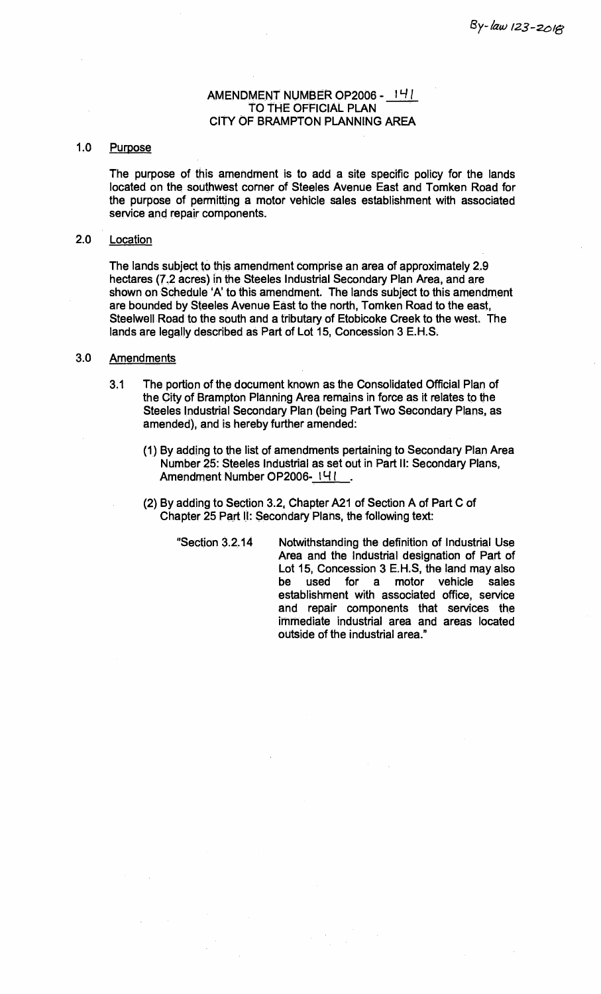## **AMENDMENT NUMBER OP2006 - 1** 4I **TO THE OFFICIAL PLAN CITY OF BRAMPTON PLANNING AREA**

## **1.0 Purpose**

**The purpose of this amendment is to add a site specific policy for the lands located on the southwest corner of Steeles Avenue East and Tomken Road for the purpose of permitting a motor vehicle sales establishment with associated service and repair components.** 

## **2.0 Location**

**The lands subject to this amendment comprise an area of approximately 2.9 hectares (7.2 acres) in the Steeles Industrial Secondary Plan Area, and are shown on Schedule 'A' to this amendment. The lands subject to this amendment are bounded by Steeles Avenue East to the north, Tomken Road to the east, Steelwell Road to the south and a tributary of Etobicoke Creek to the west. The lands are legally described as Part of Lot 15, Concession 3 E.H.S.** 

## **3.0 Amendments**

- **3.1 The portion of the document known as the Consolidated Official Plan of the City of Brampton Planning Area remains in force as it relates to the Steeles Industrial Secondary Plan (being Part Two Secondary Plans, as amended), and is hereby further amended:** 
	- **(1) By adding to the list of amendments pertaining to Secondary Plan Area Number 25: Steeles Industrial as set out in Part II: Secondary Plans,**  Amendment Number OP2006-141
	- **(2) By adding to Section 3.2, Chapter A21 of Section A of Part C of Chapter 25 Part II: Secondary Plans, the following text:** 
		- **"Section 3.2.14 Notwithstanding the definition of Industrial Use Area and the Industrial designation of Part of Lot 15, Concession 3 E.H.S, the land may also be used for a motor vehicle sales establishment with associated office, service and repair components that services the immediate industrial area and areas located outside of the industrial area."**